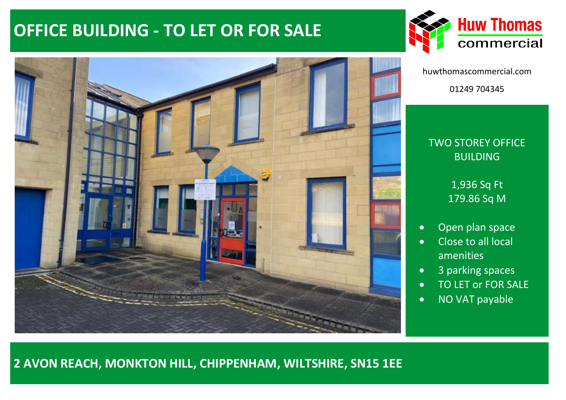# **OFFICE BUILDING - TO LET OR FOR SALE**



huwthomascommercial.com 01249 704345

# TWO STOREY OFFICE BUILDING

1,936 Sq Ft 179.86 Sq M

- Open plan space
- Close to all local amenities
- 3 parking spaces
- TO LET or FOR SALE
- NO VAT payable



**2 AVON REACH, MONKTON HILL, CHIPPENHAM, WILTSHIRE, SN15 1EE**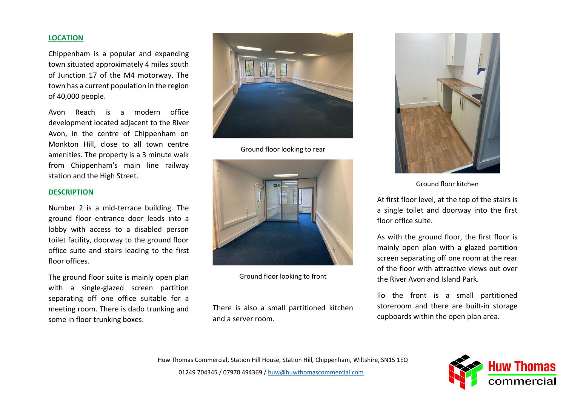#### **LOCATION**

Chippenham is a popular and expanding town situated approximately 4 miles south of Junction 17 of the M4 motorway. The town has a current population in the region of 40,000 people.

Avon Reach is a modern office development located adjacent to the River Avon, in the centre of Chippenham on Monkton Hill, close to all town centre amenities. The property is a 3 minute walk from Chippenham's main line railway station and the High Street.

#### **DESCRIPTION**

Number 2 is a mid-terrace building. The ground floor entrance door leads into a lobby with access to a disabled person toilet facility, doorway to the ground floor office suite and stairs leading to the first floor offices.

The ground floor suite is mainly open plan with a single-glazed screen partition separating off one office suitable for a meeting room. There is dado trunking and some in floor trunking boxes.



Ground floor looking to rear



Ground floor looking to front

There is also a small partitioned kitchen and a server room.



Ground floor kitchen

At first floor level, at the top of the stairs is a single toilet and doorway into the first floor office suite.

As with the ground floor, the first floor is mainly open plan with a glazed partition screen separating off one room at the rear of the floor with attractive views out over the River Avon and Island Park.

To the front is a small partitioned storeroom and there are built-in storage cupboards within the open plan area.

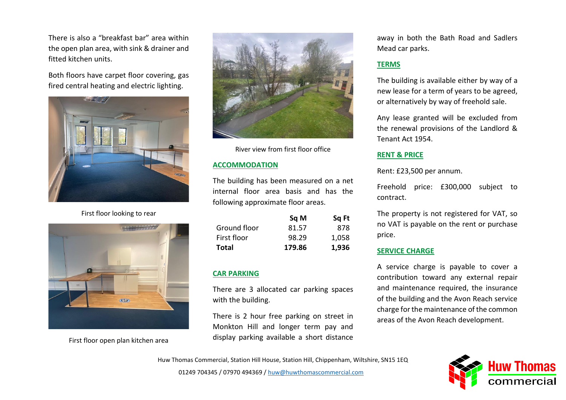There is also a "breakfast bar" area within the open plan area, with sink & drainer and fitted kitchen units.

Both floors have carpet floor covering, gas fired central heating and electric lighting.



First floor looking to rear



First floor open plan kitchen area



River view from first floor office

### **ACCOMMODATION**

The building has been measured on a net internal floor area basis and has the following approximate floor areas.

|              | Sq M   | Sq Ft |
|--------------|--------|-------|
| Ground floor | 81.57  | 878   |
| First floor  | 98.29  | 1,058 |
| Total        | 179.86 | 1,936 |

# **CAR PARKING**

There are 3 allocated car parking spaces with the building.

There is 2 hour free parking on street in Monkton Hill and longer term pay and display parking available a short distance

away in both the Bath Road and Sadlers Mead car parks.

# **TERMS**

The building is available either by way of a new lease for a term of years to be agreed, or alternatively by way of freehold sale.

Any lease granted will be excluded from the renewal provisions of the Landlord & Tenant Act 1954.

### **RENT & PRICE**

Rent: £23,500 per annum.

Freehold price: £300,000 subject to contract.

The property is not registered for VAT, so no VAT is payable on the rent or purchase price.

# **SERVICE CHARGE**

A service charge is payable to cover a contribution toward any external repair and maintenance required, the insurance of the building and the Avon Reach service charge for the maintenance of the common areas of the Avon Reach development.

Huw Thomas Commercial, Station Hill House, Station Hill, Chippenham, Wiltshire, SN15 1EQ

01249 704345 / 07970 494369 [/ huw@huwthomascommercial.com](mailto:huw@huwthomascommercial.com)